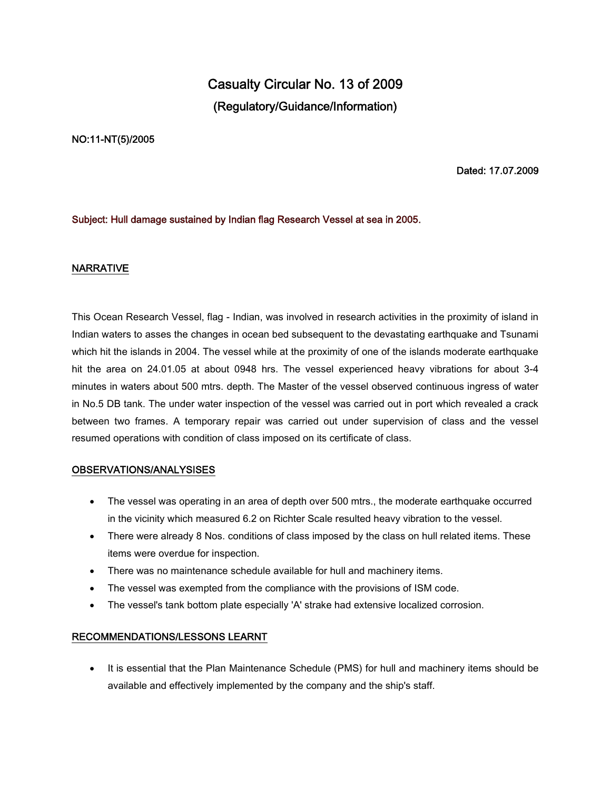# **Casualty Circular No. 13 of 2009 (Regulatory/Guidance/Information)**

#### **NO:11-NT(5)/2005**

**Dated: 17.07.2009**

# **Subject: Hull damage sustained by Indian flag Research Vessel at sea in 2005.**

### **NARRATIVE**

This Ocean Research Vessel, flag - Indian, was involved in research activities in the proximity of island in Indian waters to asses the changes in ocean bed subsequent to the devastating earthquake and Tsunami which hit the islands in 2004. The vessel while at the proximity of one of the islands moderate earthquake hit the area on 24.01.05 at about 0948 hrs. The vessel experienced heavy vibrations for about 3-4 minutes in waters about 500 mtrs. depth. The Master of the vessel observed continuous ingress of water in No.5 DB tank. The under water inspection of the vessel was carried out in port which revealed a crack between two frames. A temporary repair was carried out under supervision of class and the vessel resumed operations with condition of class imposed on its certificate of class.

#### **OBSERVATIONS/ANALYSISES**

- The vessel was operating in an area of depth over 500 mtrs., the moderate earthquake occurred in the vicinity which measured 6.2 on Richter Scale resulted heavy vibration to the vessel.
- There were already 8 Nos. conditions of class imposed by the class on hull related items. These items were overdue for inspection.
- There was no maintenance schedule available for hull and machinery items.
- The vessel was exempted from the compliance with the provisions of ISM code.
- The vessel's tank bottom plate especially 'A' strake had extensive localized corrosion.

# **RECOMMENDATIONS/LESSONS LEARNT**

 It is essential that the Plan Maintenance Schedule (PMS) for hull and machinery items should be available and effectively implemented by the company and the ship's staff.